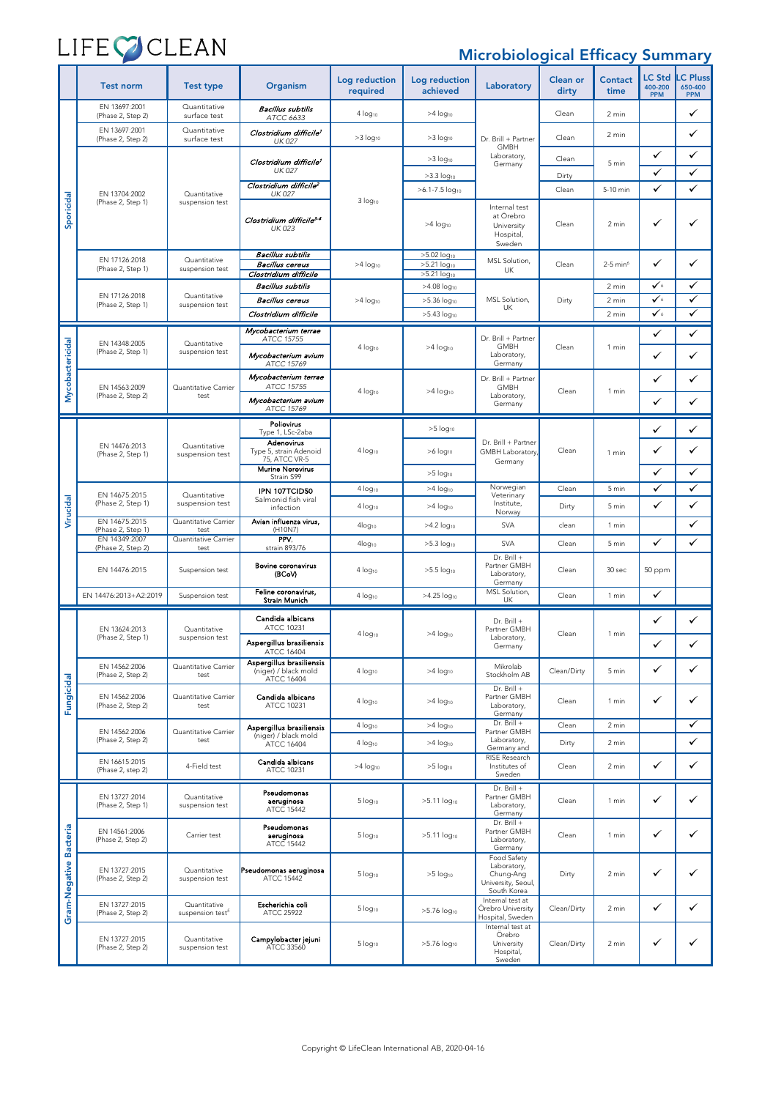# LIFECOCLEAN

### Microbiological Efficacy Summary

|                                  | <b>Test norm</b>                   | <b>Test type</b>                             | Organism                                                       | Log reduction<br>required | Log reduction<br>achieved                              | Laboratory                                                                   | <b>Clean or</b><br>dirty | <b>Contact</b><br>time | <b>LC Std</b><br>400-200<br><b>PPM</b> | <b>C</b> Pluss<br>650-400<br><b>PPM</b> |
|----------------------------------|------------------------------------|----------------------------------------------|----------------------------------------------------------------|---------------------------|--------------------------------------------------------|------------------------------------------------------------------------------|--------------------------|------------------------|----------------------------------------|-----------------------------------------|
| Sporicidal                       | EN 13697:2001<br>(Phase 2, Step 2) | Quantitative<br>surface test                 | Bacillus subtilis<br>ATCC 6633                                 | 4 log <sub>10</sub>       | $>4$ log <sub>10</sub>                                 |                                                                              | Clean                    | 2 min                  |                                        | ✓                                       |
|                                  | EN 13697:2001<br>(Phase 2, Step 2) | Quantitative<br>surface test                 | Clostridium difficile <sup>1</sup><br><b>UK 027</b>            | $>3$ log <sub>10</sub>    | $>3$ log <sub>10</sub>                                 | Dr. Brill + Partner                                                          | Clean                    | 2 min                  |                                        | $\checkmark$                            |
|                                  | EN 13704:2002<br>(Phase 2, Step 1) | Quantitative<br>suspension test              | Clostridium difficile <sup>1</sup><br>UK 027                   |                           | $>3$ log <sub>10</sub>                                 | GMBH<br>Laboratory,<br>Germany                                               | Clean                    | 5 min                  | ✓                                      | ✓                                       |
|                                  |                                    |                                              | Clostridium difficile <sup>2</sup>                             |                           | $>3.3$ log <sub>10</sub><br>>6.1-7.5 log <sub>10</sub> |                                                                              | Dirty<br>Clean           | 5-10 min               | ✓<br>✓                                 | $\checkmark$<br>✓                       |
|                                  |                                    |                                              | <b>UK 027</b>                                                  | 3 log <sub>10</sub>       | Internal test                                          |                                                                              |                          |                        |                                        |                                         |
|                                  |                                    |                                              | Clostridium difficile <sup>3-4</sup><br><b>UK 023</b>          |                           | $>4$ log $_{10}$                                       | at Örebro<br>University<br>Hospital,<br>Sweden                               | Clean                    | 2 min                  | ✓                                      | ✓                                       |
|                                  | EN 17126:2018<br>(Phase 2, Step 1) | Quantitative<br>suspension test              | Bacillus subtilis<br><b>Bacillus cereus</b>                    | $>4$ log <sub>10</sub>    | $>5.02$ log <sub>10</sub><br>>5.21 log <sub>10</sub>   | MSL Solution,<br>UK                                                          | Clean                    | $2-5$ min <sup>6</sup> | $\checkmark$                           | ✓                                       |
|                                  |                                    |                                              | Clostridium difficile<br><b>Bacillus subtilis</b>              |                           | >5.21 log <sub>10</sub><br>>4.08 log <sub>10</sub>     |                                                                              |                          | 2 min                  | $\checkmark$                           | ✓                                       |
|                                  | EN 17126:2018<br>(Phase 2, Step 1) | Quantitative<br>suspension test              | <b>Bacillus cereus</b>                                         | $>4$ log <sub>10</sub>    | $>5.36$ log <sub>10</sub>                              | MSL Solution,<br>UK                                                          | Dirty                    | 2 min                  | $\checkmark$                           | ✓                                       |
|                                  |                                    |                                              | Clostridium difficile                                          |                           | $>5.43$ log <sub>10</sub>                              |                                                                              |                          | 2 min                  | $\checkmark$                           | ✓                                       |
| Mycobactericidal                 | EN 14348:2005<br>(Phase 2, Step 1) | Quantitative<br>suspension test              | Mycobacterium terrae<br>ATCC 15755                             | $4 log_{10}$              | >4 log <sub>10</sub>                                   | Dr. Brill + Partner<br>GMBH<br>Laboratory,<br>Germany                        | Clean                    | 1 min                  | ✓                                      | ✓                                       |
|                                  |                                    |                                              | Mycobacterium avium<br>ATCC 15769                              |                           |                                                        |                                                                              |                          |                        | ✓                                      | ✓                                       |
|                                  | EN 14563:2009                      | Quantitative Carrier                         | Mycobacterium terrae<br>ATCC 15755                             |                           |                                                        | Dr. Brill + Partner<br>GMBH<br>Laboratory,<br>Germany                        |                          |                        | ✓                                      | ✓                                       |
|                                  | (Phase 2, Step 2)                  | test                                         | Mycobacterium avium<br>ATCC 15769                              | 4 log <sub>10</sub>       | >4 log <sub>10</sub>                                   |                                                                              | Clean                    | 1 min                  | ✓                                      | ✓                                       |
| Virucidal                        | EN 14476:2013<br>(Phase 2, Step 1) | Quantitative<br>suspension test              | Poliovirus<br>Type 1, LSc-2aba                                 | 4 log <sub>10</sub>       | $>5$ log <sub>10</sub>                                 |                                                                              | Clean                    | 1 min                  | ✓                                      | ✓                                       |
|                                  |                                    |                                              | Adenovirus<br>Type 5, strain Adenoid<br>75, ATCC VR-5          |                           | $>6$ log <sub>10</sub>                                 | Dr. Brill + Partner<br><b>GMBH Laboratory</b><br>Germany                     |                          |                        | ✓                                      | ✓                                       |
|                                  |                                    |                                              | <b>Murine Norovirus</b><br>Strain S99                          |                           | $>5$ log <sub>10</sub>                                 |                                                                              |                          |                        | ✓                                      | ✓                                       |
|                                  | EN 14675:2015                      | Quantitative                                 | IPN 107TCID50                                                  | 4 log <sub>10</sub>       | $>4$ log <sub>10</sub>                                 | Norwegian<br>Veterinary                                                      | Clean                    | 5 min                  | ✓                                      | ✓                                       |
|                                  | (Phase 2, Step 1)                  | suspension test                              | Salmonid fish viral<br>infection                               | 4 log <sub>10</sub>       | $>4$ log <sub>10</sub>                                 | Institute,<br>Norway                                                         | Dirty                    | 5 min                  | ✓                                      | ✓                                       |
|                                  | EN 14675:2015<br>(Phase 2, Step 1) | Quantitative Carrier<br>test                 | Avian influenza virus,<br>(H10N7)                              | 4log <sub>10</sub>        | >4.2 log <sub>10</sub>                                 | <b>SVA</b>                                                                   | clean                    | 1 min                  |                                        | ✓                                       |
|                                  | EN 14349:2007<br>(Phase 2, Step 2) | Quantitative Carrier<br>test                 | PPV.<br>strain 893/76                                          | $4log_{10}$               | $>5.3$ log <sub>10</sub>                               | <b>SVA</b>                                                                   | Clean                    | 5 min                  | ✓                                      | ✓                                       |
|                                  | EN 14476:2015                      | Suspension test                              | Bovine coronavirus<br>(BCoV)                                   | 4 log <sub>10</sub>       | >5.5 log <sub>10</sub>                                 | Dr. Brill +<br>Partner GMBH<br>Laboratory,<br>Germany                        | Clean                    | 30 sec                 | 50 ppm                                 |                                         |
|                                  | EN 14476:2013+A2:2019              | Suspension test                              | Feline coronavirus,<br>Strain Munich                           | 4 log <sub>10</sub>       | >4.25 log <sub>10</sub>                                | MSL Solution,<br>UK                                                          | Clean                    | 1 min                  | ✓                                      |                                         |
|                                  | EN 13624:2013<br>(Phase 2, Step 1) | Quantitative<br>suspension test              | Candida albicans<br>ATCC 10231                                 | 4 log <sub>10</sub>       | $>4$ log <sub>10</sub>                                 | Dr. Brill +<br>Partner GMBH<br>Laboratory.<br>Germany                        | Clean                    | 1 min                  | ✓                                      | $\checkmark$                            |
|                                  |                                    |                                              | Aspergillus brasiliensis<br>ATCC 16404                         |                           |                                                        |                                                                              |                          |                        | ✓                                      | ✓                                       |
|                                  | EN 14562:2006<br>(Phase 2, Step 2) | Quantitative Carrier<br>test                 | Aspergillus brasiliensis<br>(niger) / black mold<br>ATCC 16404 | 4 log <sub>10</sub>       | $>4$ log <sub>10</sub>                                 | Mikrolab<br>Stockholm AB                                                     | Clean/Dirty              | 5 min                  | ✓                                      | ✓                                       |
| Fungicidal                       | EN 14562:2006<br>(Phase 2, Step 2) | Quantitative Carrier<br>test                 | Candida albicans<br>ATCC 10231                                 | $4$ log <sub>10</sub>     | $>4$ log <sub>10</sub>                                 | Dr. Brill +<br>Partner GMBH<br>Laboratory,<br>Germany                        | Clean                    | 1 min                  | ✓                                      | ✓                                       |
|                                  | EN 14562:2006                      | Quantitative Carrier                         | Aspergillus brasiliensis<br>(niger) / black mold               | 4 log <sub>10</sub>       | $>4$ log <sub>10</sub>                                 | Dr. Brill +<br>Partner GMBH                                                  | Clean                    | 2 min                  |                                        | ✓                                       |
|                                  | (Phase 2, Step 2)                  | test                                         | <b>ATCC 16404</b>                                              | 4 log <sub>10</sub>       | $>4$ log <sub>10</sub>                                 | Laboratory,<br>Germany and<br>RISE Research                                  | Dirty                    | 2 min                  |                                        | ✓                                       |
|                                  | EN 16615:2015<br>(Phase 2, step 2) | 4-Field test                                 | Candida albicans<br>ATCC 10231                                 | $>4$ log <sub>10</sub>    | $>5$ log <sub>10</sub>                                 | Institutes of<br>Sweden                                                      | Clean                    | 2 min                  | ✓                                      | ✓                                       |
| <b>Bacteria</b><br>Gram-Negative | EN 13727:2014<br>(Phase 2, Step 1) | Quantitative<br>suspension test              | Pseudomonas<br>aeruginosa<br>ATCC 15442                        | 5 log <sub>10</sub>       | >5.11 log <sub>10</sub>                                | Dr. Brill +<br>Partner GMBH<br>Laboratory,<br>Germany                        | Clean                    | 1 min                  | ✓                                      | ✓                                       |
|                                  | EN 14561:2006<br>(Phase 2, Step 2) | Carrier test                                 | Pseudomonas<br>aeruginosa<br>ATCC 15442                        | 5 log <sub>10</sub>       | $>5.11$ log <sub>10</sub>                              | Dr. Brill +<br>Partner GMBH<br>Laboratory,<br>Germany                        | Clean                    | 1 min                  | ✓                                      | ✓                                       |
|                                  | EN 13727:2015<br>(Phase 2, Step 2) | Quantitative<br>suspension test              | Pseudomonas aeruginosa<br>ATCC 15442                           | 5 log <sub>10</sub>       | $>5$ log <sub>10</sub>                                 | Food Safety<br>Laboratory,<br>Chung-Ang<br>University, Seoul,<br>South Korea | Dirty                    | 2 min                  | ✓                                      | ✓                                       |
|                                  | EN 13727:2015<br>(Phase 2, Step 2) | Quantitative<br>suspension test <sup>5</sup> | Escherichia coli<br>ATCC 25922                                 | 5 log <sub>10</sub>       | $>5.76$ log <sub>10</sub>                              | Internal test at<br>Örebro University<br>Hospital, Sweden                    | Clean/Dirty              | 2 min                  | ✓                                      | ✓                                       |
|                                  | EN 13727:2015<br>(Phase 2, Step 2) | Quantitative<br>suspension test              | Campylobacter jejuni<br>ATCC 33560                             | 5 log <sub>10</sub>       | >5.76 log <sub>10</sub>                                | Internal test at<br>Örebro<br>University<br>Hospital,<br>Sweden              | Clean/Dirty              | 2 min                  | ✓                                      | ✓                                       |